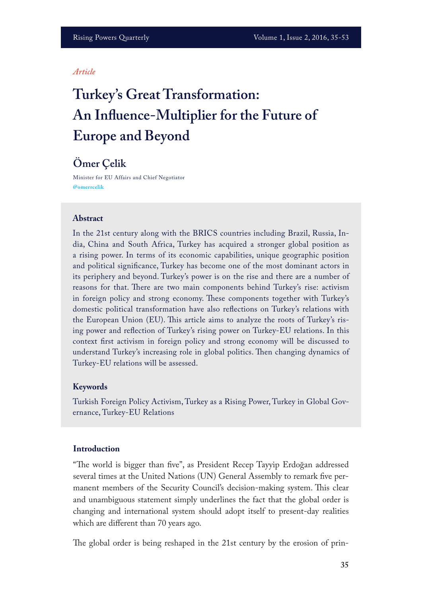#### *Article*

# **Turkey's Great Transformation: An Infuence-Multiplier for the Future of Europe and Beyond**

# **Ömer Çelik**

Minister for EU Affairs and Chief Negotiator **@omerrcelik**

#### **Abstract**

In the 21st century along with the BRICS countries including Brazil, Russia, India, China and South Africa, Turkey has acquired a stronger global position as a rising power. In terms of its economic capabilities, unique geographic position and political signifcance, Turkey has become one of the most dominant actors in its periphery and beyond. Turkey's power is on the rise and there are a number of reasons for that. There are two main components behind Turkey's rise: activism in foreign policy and strong economy. These components together with Turkey's domestic political transformation have also refections on Turkey's relations with the European Union (EU). Tis article aims to analyze the roots of Turkey's rising power and refection of Turkey's rising power on Turkey-EU relations. In this context frst activism in foreign policy and strong economy will be discussed to understand Turkey's increasing role in global politics. Then changing dynamics of Turkey-EU relations will be assessed.

#### **Keywords**

Turkish Foreign Policy Activism, Turkey as a Rising Power, Turkey in Global Governance, Turkey-EU Relations

#### **Introduction**

"The world is bigger than five", as President Recep Tayyip Erdoğan addressed several times at the United Nations (UN) General Assembly to remark fve permanent members of the Security Council's decision-making system. This clear and unambiguous statement simply underlines the fact that the global order is changing and international system should adopt itself to present-day realities which are diferent than 70 years ago.

The global order is being reshaped in the 21st century by the erosion of prin-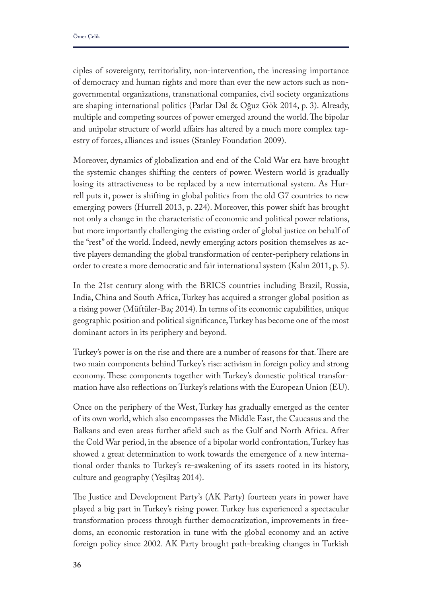ciples of sovereignty, territoriality, non-intervention, the increasing importance of democracy and human rights and more than ever the new actors such as nongovernmental organizations, transnational companies, civil society organizations are shaping international politics (Parlar Dal & Oğuz Gök 2014, p. 3). Already, multiple and competing sources of power emerged around the world. The bipolar and unipolar structure of world afairs has altered by a much more complex tapestry of forces, alliances and issues (Stanley Foundation 2009).

Moreover, dynamics of globalization and end of the Cold War era have brought the systemic changes shifting the centers of power. Western world is gradually losing its attractiveness to be replaced by a new international system. As Hurrell puts it, power is shifting in global politics from the old G7 countries to new emerging powers (Hurrell 2013, p. 224). Moreover, this power shift has brought not only a change in the characteristic of economic and political power relations, but more importantly challenging the existing order of global justice on behalf of the "rest" of the world. Indeed, newly emerging actors position themselves as active players demanding the global transformation of center-periphery relations in order to create a more democratic and fair international system (Kalın 2011, p. 5).

In the 21st century along with the BRICS countries including Brazil, Russia, India, China and South Africa, Turkey has acquired a stronger global position as a rising power (Müftüler-Baç 2014). In terms of its economic capabilities, unique geographic position and political signifcance, Turkey has become one of the most dominant actors in its periphery and beyond.

Turkey's power is on the rise and there are a number of reasons for that. There are two main components behind Turkey's rise: activism in foreign policy and strong economy. These components together with Turkey's domestic political transformation have also refections on Turkey's relations with the European Union (EU).

Once on the periphery of the West, Turkey has gradually emerged as the center of its own world, which also encompasses the Middle East, the Caucasus and the Balkans and even areas further afeld such as the Gulf and North Africa. After the Cold War period, in the absence of a bipolar world confrontation, Turkey has showed a great determination to work towards the emergence of a new international order thanks to Turkey's re-awakening of its assets rooted in its history, culture and geography (Yeşiltaş 2014).

The Justice and Development Party's (AK Party) fourteen years in power have played a big part in Turkey's rising power. Turkey has experienced a spectacular transformation process through further democratization, improvements in freedoms, an economic restoration in tune with the global economy and an active foreign policy since 2002. AK Party brought path-breaking changes in Turkish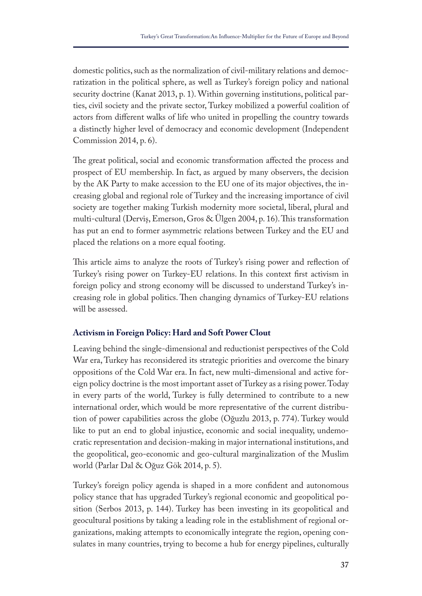domestic politics, such as the normalization of civil-military relations and democratization in the political sphere, as well as Turkey's foreign policy and national security doctrine (Kanat 2013, p. 1). Within governing institutions, political parties, civil society and the private sector, Turkey mobilized a powerful coalition of actors from diferent walks of life who united in propelling the country towards a distinctly higher level of democracy and economic development (Independent Commission 2014, p. 6).

The great political, social and economic transformation affected the process and prospect of EU membership. In fact, as argued by many observers, the decision by the AK Party to make accession to the EU one of its major objectives, the increasing global and regional role of Turkey and the increasing importance of civil society are together making Turkish modernity more societal, liberal, plural and multi-cultural (Derviş, Emerson, Gros & Ulgen 2004, p. 16). This transformation has put an end to former asymmetric relations between Turkey and the EU and placed the relations on a more equal footing.

This article aims to analyze the roots of Turkey's rising power and reflection of Turkey's rising power on Turkey-EU relations. In this context frst activism in foreign policy and strong economy will be discussed to understand Turkey's increasing role in global politics. Then changing dynamics of Turkey-EU relations will be assessed.

# **Activism in Foreign Policy: Hard and Soft Power Clout**

Leaving behind the single-dimensional and reductionist perspectives of the Cold War era, Turkey has reconsidered its strategic priorities and overcome the binary oppositions of the Cold War era. In fact, new multi-dimensional and active foreign policy doctrine is the most important asset of Turkey as a rising power. Today in every parts of the world, Turkey is fully determined to contribute to a new international order, which would be more representative of the current distribution of power capabilities across the globe (Oğuzlu 2013, p. 774). Turkey would like to put an end to global injustice, economic and social inequality, undemocratic representation and decision-making in major international institutions, and the geopolitical, geo-economic and geo-cultural marginalization of the Muslim world (Parlar Dal & Oğuz Gök 2014, p. 5).

Turkey's foreign policy agenda is shaped in a more confdent and autonomous policy stance that has upgraded Turkey's regional economic and geopolitical position (Serbos 2013, p. 144). Turkey has been investing in its geopolitical and geocultural positions by taking a leading role in the establishment of regional organizations, making attempts to economically integrate the region, opening consulates in many countries, trying to become a hub for energy pipelines, culturally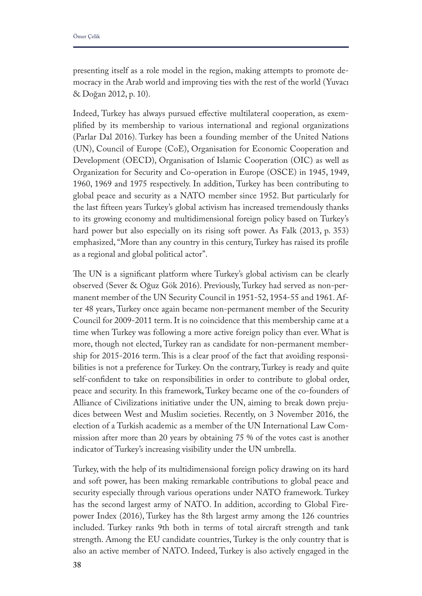presenting itself as a role model in the region, making attempts to promote democracy in the Arab world and improving ties with the rest of the world (Yuvacı & Doğan 2012, p. 10).

Indeed, Turkey has always pursued effective multilateral cooperation, as exemplifed by its membership to various international and regional organizations (Parlar Dal 2016). Turkey has been a founding member of the United Nations (UN), Council of Europe (CoE), Organisation for Economic Cooperation and Development (OECD), Organisation of Islamic Cooperation (OIC) as well as Organization for Security and Co-operation in Europe (OSCE) in 1945, 1949, 1960, 1969 and 1975 respectively. In addition, Turkey has been contributing to global peace and security as a NATO member since 1952. But particularly for the last ffteen years Turkey's global activism has increased tremendously thanks to its growing economy and multidimensional foreign policy based on Turkey's hard power but also especially on its rising soft power. As Falk (2013, p. 353) emphasized, "More than any country in this century, Turkey has raised its profle as a regional and global political actor".

The UN is a significant platform where Turkey's global activism can be clearly observed (Sever & Oğuz Gök 2016). Previously, Turkey had served as non-permanent member of the UN Security Council in 1951-52, 1954-55 and 1961. After 48 years, Turkey once again became non-permanent member of the Security Council for 2009-2011 term. It is no coincidence that this membership came at a time when Turkey was following a more active foreign policy than ever. What is more, though not elected, Turkey ran as candidate for non-permanent membership for 2015-2016 term. This is a clear proof of the fact that avoiding responsibilities is not a preference for Turkey. On the contrary, Turkey is ready and quite self-confdent to take on responsibilities in order to contribute to global order, peace and security. In this framework, Turkey became one of the co-founders of Alliance of Civilizations initiative under the UN, aiming to break down prejudices between West and Muslim societies. Recently, on 3 November 2016, the election of a Turkish academic as a member of the UN International Law Commission after more than 20 years by obtaining 75 % of the votes cast is another indicator of Turkey's increasing visibility under the UN umbrella.

Turkey, with the help of its multidimensional foreign policy drawing on its hard and soft power, has been making remarkable contributions to global peace and security especially through various operations under NATO framework. Turkey has the second largest army of NATO. In addition, according to Global Firepower Index (2016), Turkey has the 8th largest army among the 126 countries included. Turkey ranks 9th both in terms of total aircraft strength and tank strength. Among the EU candidate countries, Turkey is the only country that is also an active member of NATO. Indeed, Turkey is also actively engaged in the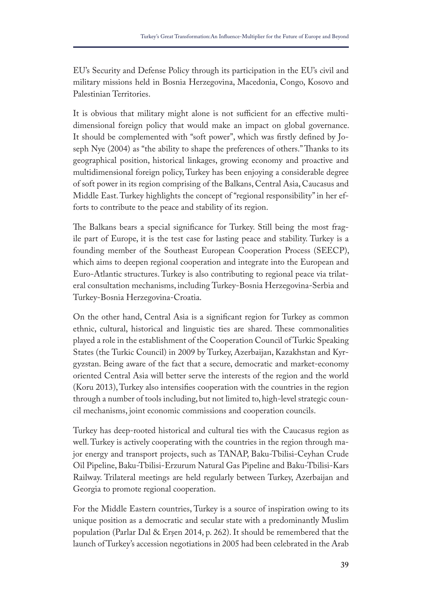EU's Security and Defense Policy through its participation in the EU's civil and military missions held in Bosnia Herzegovina, Macedonia, Congo, Kosovo and Palestinian Territories.

It is obvious that military might alone is not sufficient for an effective multidimensional foreign policy that would make an impact on global governance. It should be complemented with "soft power", which was frstly defned by Joseph Nye (2004) as "the ability to shape the preferences of others." Thanks to its geographical position, historical linkages, growing economy and proactive and multidimensional foreign policy, Turkey has been enjoying a considerable degree of soft power in its region comprising of the Balkans, Central Asia, Caucasus and Middle East. Turkey highlights the concept of "regional responsibility" in her efforts to contribute to the peace and stability of its region.

The Balkans bears a special significance for Turkey. Still being the most fragile part of Europe, it is the test case for lasting peace and stability. Turkey is a founding member of the Southeast European Cooperation Process (SEECP), which aims to deepen regional cooperation and integrate into the European and Euro-Atlantic structures. Turkey is also contributing to regional peace via trilateral consultation mechanisms, including Turkey-Bosnia Herzegovina-Serbia and Turkey-Bosnia Herzegovina-Croatia.

On the other hand, Central Asia is a signifcant region for Turkey as common ethnic, cultural, historical and linguistic ties are shared. These commonalities played a role in the establishment of the Cooperation Council of Turkic Speaking States (the Turkic Council) in 2009 by Turkey, Azerbaijan, Kazakhstan and Kyrgyzstan. Being aware of the fact that a secure, democratic and market-economy oriented Central Asia will better serve the interests of the region and the world (Koru 2013), Turkey also intensifes cooperation with the countries in the region through a number of tools including, but not limited to, high-level strategic council mechanisms, joint economic commissions and cooperation councils.

Turkey has deep-rooted historical and cultural ties with the Caucasus region as well. Turkey is actively cooperating with the countries in the region through major energy and transport projects, such as TANAP, Baku-Tbilisi-Ceyhan Crude Oil Pipeline, Baku-Tbilisi-Erzurum Natural Gas Pipeline and Baku-Tbilisi-Kars Railway. Trilateral meetings are held regularly between Turkey, Azerbaijan and Georgia to promote regional cooperation.

For the Middle Eastern countries, Turkey is a source of inspiration owing to its unique position as a democratic and secular state with a predominantly Muslim population (Parlar Dal & Erşen 2014, p. 262). It should be remembered that the launch of Turkey's accession negotiations in 2005 had been celebrated in the Arab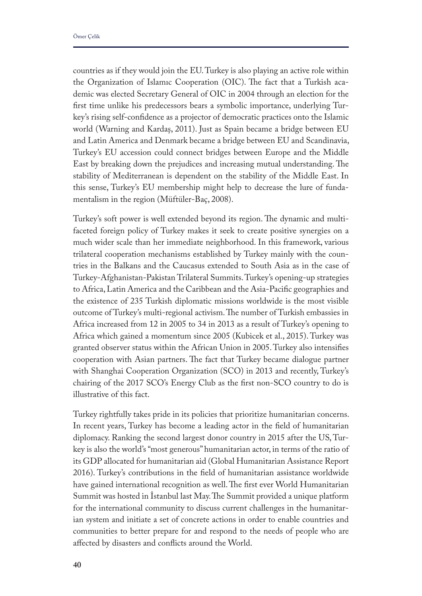countries as if they would join the EU. Turkey is also playing an active role within the Organization of Islamic Cooperation (OIC). The fact that a Turkish academic was elected Secretary General of OIC in 2004 through an election for the frst time unlike his predecessors bears a symbolic importance, underlying Turkey's rising self-confdence as a projector of democratic practices onto the Islamic world (Warning and Kardaş, 2011). Just as Spain became a bridge between EU and Latin America and Denmark became a bridge between EU and Scandinavia, Turkey's EU accession could connect bridges between Europe and the Middle East by breaking down the prejudices and increasing mutual understanding. The stability of Mediterranean is dependent on the stability of the Middle East. In this sense, Turkey's EU membership might help to decrease the lure of fundamentalism in the region (Müftüler-Baç, 2008).

Turkey's soft power is well extended beyond its region. The dynamic and multifaceted foreign policy of Turkey makes it seek to create positive synergies on a much wider scale than her immediate neighborhood. In this framework, various trilateral cooperation mechanisms established by Turkey mainly with the countries in the Balkans and the Caucasus extended to South Asia as in the case of Turkey-Afghanistan-Pakistan Trilateral Summits. Turkey's opening-up strategies to Africa, Latin America and the Caribbean and the Asia-Pacifc geographies and the existence of 235 Turkish diplomatic missions worldwide is the most visible outcome of Turkey's multi-regional activism. The number of Turkish embassies in Africa increased from 12 in 2005 to 34 in 2013 as a result of Turkey's opening to Africa which gained a momentum since 2005 (Kubicek et al., 2015). Turkey was granted observer status within the African Union in 2005. Turkey also intensifes cooperation with Asian partners. The fact that Turkey became dialogue partner with Shanghai Cooperation Organization (SCO) in 2013 and recently, Turkey's chairing of the 2017 SCO's Energy Club as the frst non-SCO country to do is illustrative of this fact.

Turkey rightfully takes pride in its policies that prioritize humanitarian concerns. In recent years, Turkey has become a leading actor in the feld of humanitarian diplomacy. Ranking the second largest donor country in 2015 after the US, Turkey is also the world's "most generous" humanitarian actor, in terms of the ratio of its GDP allocated for humanitarian aid (Global Humanitarian Assistance Report 2016). Turkey's contributions in the feld of humanitarian assistance worldwide have gained international recognition as well. The first ever World Humanitarian Summit was hosted in Istanbul last May. The Summit provided a unique platform for the international community to discuss current challenges in the humanitarian system and initiate a set of concrete actions in order to enable countries and communities to better prepare for and respond to the needs of people who are afected by disasters and conficts around the World.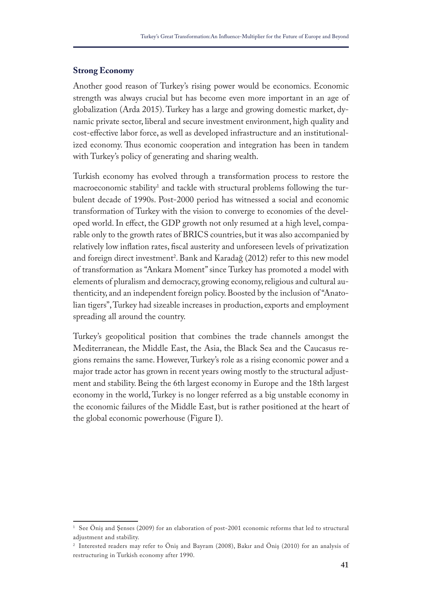#### **Strong Economy**

Another good reason of Turkey's rising power would be economics. Economic strength was always crucial but has become even more important in an age of globalization (Arda 2015). Turkey has a large and growing domestic market, dynamic private sector, liberal and secure investment environment, high quality and cost-efective labor force, as well as developed infrastructure and an institutionalized economy. Thus economic cooperation and integration has been in tandem with Turkey's policy of generating and sharing wealth.

Turkish economy has evolved through a transformation process to restore the macroeconomic stability<sup>1</sup> and tackle with structural problems following the turbulent decade of 1990s. Post-2000 period has witnessed a social and economic transformation of Turkey with the vision to converge to economies of the developed world. In efect, the GDP growth not only resumed at a high level, comparable only to the growth rates of BRICS countries, but it was also accompanied by relatively low infation rates, fscal austerity and unforeseen levels of privatization and foreign direct investment<sup>2</sup>. Bank and Karadağ (2012) refer to this new model of transformation as "Ankara Moment" since Turkey has promoted a model with elements of pluralism and democracy, growing economy, religious and cultural authenticity, and an independent foreign policy. Boosted by the inclusion of "Anatolian tigers", Turkey had sizeable increases in production, exports and employment spreading all around the country.

Turkey's geopolitical position that combines the trade channels amongst the Mediterranean, the Middle East, the Asia, the Black Sea and the Caucasus regions remains the same. However, Turkey's role as a rising economic power and a major trade actor has grown in recent years owing mostly to the structural adjustment and stability. Being the 6th largest economy in Europe and the 18th largest economy in the world, Turkey is no longer referred as a big unstable economy in the economic failures of the Middle East, but is rather positioned at the heart of the global economic powerhouse (Figure I).

<sup>&</sup>lt;sup>1</sup> See Öniş and Şenses (2009) for an elaboration of post-2001 economic reforms that led to structural adjustment and stability.

<sup>2</sup> Interested readers may refer to Öniş and Bayram (2008), Bakır and Öniş (2010) for an analysis of restructuring in Turkish economy after 1990.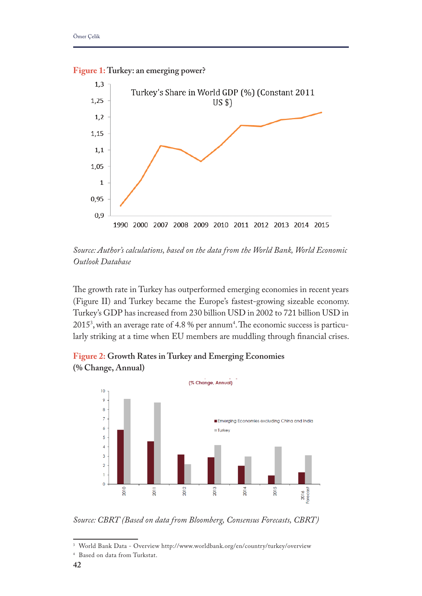

**Figure 1: Turkey: an emerging power?**

*Source: Author's calculations, based on the data from the World Bank, World Economic Outlook Database* 

The growth rate in Turkey has outperformed emerging economies in recent years (Figure II) and Turkey became the Europe's fastest-growing sizeable economy. Turkey's GDP has increased from 230 billion USD in 2002 to 721 billion USD in  $2015^{\text{\tiny 3}}$ , with an average rate of 4.8 % per annum<sup>4</sup>. The economic success is particularly striking at a time when EU members are muddling through fnancial crises.

**Figure 2: Growth Rates in Turkey and Emerging Economies (% Change, Annual)**



*Source: CBRT (Based on data from Bloomberg, Consensus Forecasts, CBRT)*

<sup>3</sup> World Bank Data - Overview http://www.worldbank.org/en/country/turkey/overview

<sup>4</sup> Based on data from Turkstat.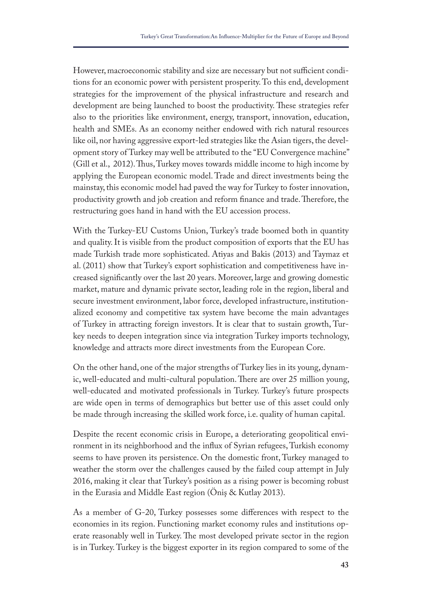However, macroeconomic stability and size are necessary but not sufficient conditions for an economic power with persistent prosperity. To this end, development strategies for the improvement of the physical infrastructure and research and development are being launched to boost the productivity. These strategies refer also to the priorities like environment, energy, transport, innovation, education, health and SMEs. As an economy neither endowed with rich natural resources like oil, nor having aggressive export-led strategies like the Asian tigers, the development story of Turkey may well be attributed to the "EU Convergence machine" (Gill et al., 2012). Tus, Turkey moves towards middle income to high income by applying the European economic model. Trade and direct investments being the mainstay, this economic model had paved the way for Turkey to foster innovation, productivity growth and job creation and reform finance and trade. Therefore, the restructuring goes hand in hand with the EU accession process.

With the Turkey-EU Customs Union, Turkey's trade boomed both in quantity and quality. It is visible from the product composition of exports that the EU has made Turkish trade more sophisticated. Atiyas and Bakis (2013) and Taymaz et al. (2011) show that Turkey's export sophistication and competitiveness have increased signifcantly over the last 20 years. Moreover, large and growing domestic market, mature and dynamic private sector, leading role in the region, liberal and secure investment environment, labor force, developed infrastructure, institutionalized economy and competitive tax system have become the main advantages of Turkey in attracting foreign investors. It is clear that to sustain growth, Turkey needs to deepen integration since via integration Turkey imports technology, knowledge and attracts more direct investments from the European Core.

On the other hand, one of the major strengths of Turkey lies in its young, dynamic, well-educated and multi-cultural population. There are over 25 million young, well-educated and motivated professionals in Turkey. Turkey's future prospects are wide open in terms of demographics but better use of this asset could only be made through increasing the skilled work force, i.e. quality of human capital.

Despite the recent economic crisis in Europe, a deteriorating geopolitical environment in its neighborhood and the infux of Syrian refugees, Turkish economy seems to have proven its persistence. On the domestic front, Turkey managed to weather the storm over the challenges caused by the failed coup attempt in July 2016, making it clear that Turkey's position as a rising power is becoming robust in the Eurasia and Middle East region (Öniş & Kutlay 2013).

As a member of G-20, Turkey possesses some diferences with respect to the economies in its region. Functioning market economy rules and institutions operate reasonably well in Turkey. The most developed private sector in the region is in Turkey. Turkey is the biggest exporter in its region compared to some of the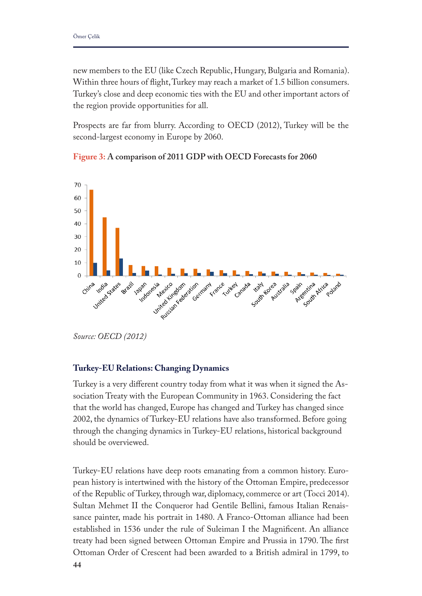new members to the EU (like Czech Republic, Hungary, Bulgaria and Romania). Within three hours of fight, Turkey may reach a market of 1.5 billion consumers. Turkey's close and deep economic ties with the EU and other important actors of the region provide opportunities for all.

Prospects are far from blurry. According to OECD (2012), Turkey will be the second-largest economy in Europe by 2060.





*Source: OECD (2012)*

# **Turkey-EU Relations: Changing Dynamics**

Turkey is a very diferent country today from what it was when it signed the Association Treaty with the European Community in 1963. Considering the fact that the world has changed, Europe has changed and Turkey has changed since 2002, the dynamics of Turkey-EU relations have also transformed. Before going through the changing dynamics in Turkey-EU relations, historical background should be overviewed.

Turkey-EU relations have deep roots emanating from a common history. European history is intertwined with the history of the Ottoman Empire, predecessor of the Republic of Turkey, through war, diplomacy, commerce or art (Tocci 2014). Sultan Mehmet II the Conqueror had Gentile Bellini, famous Italian Renaissance painter, made his portrait in 1480. A Franco-Ottoman alliance had been established in 1536 under the rule of Suleiman I the Magnifcent. An alliance treaty had been signed between Ottoman Empire and Prussia in 1790. The first Ottoman Order of Crescent had been awarded to a British admiral in 1799, to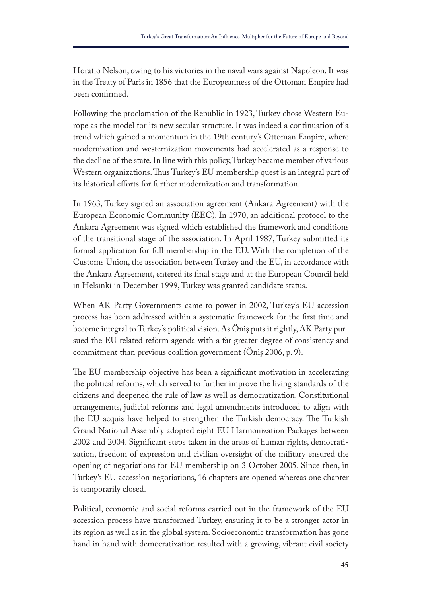Horatio Nelson, owing to his victories in the naval wars against Napoleon. It was in the Treaty of Paris in 1856 that the Europeanness of the Ottoman Empire had been confrmed.

Following the proclamation of the Republic in 1923, Turkey chose Western Europe as the model for its new secular structure. It was indeed a continuation of a trend which gained a momentum in the 19th century's Ottoman Empire, where modernization and westernization movements had accelerated as a response to the decline of the state. In line with this policy, Turkey became member of various Western organizations. Thus Turkey's EU membership quest is an integral part of its historical efforts for further modernization and transformation.

In 1963, Turkey signed an association agreement (Ankara Agreement) with the European Economic Community (EEC). In 1970, an additional protocol to the Ankara Agreement was signed which established the framework and conditions of the transitional stage of the association. In April 1987, Turkey submitted its formal application for full membership in the EU. With the completion of the Customs Union, the association between Turkey and the EU, in accordance with the Ankara Agreement, entered its fnal stage and at the European Council held in Helsinki in December 1999, Turkey was granted candidate status.

When AK Party Governments came to power in 2002, Turkey's EU accession process has been addressed within a systematic framework for the frst time and become integral to Turkey's political vision. As Öniş puts it rightly, AK Party pursued the EU related reform agenda with a far greater degree of consistency and commitment than previous coalition government (Öniş 2006, p. 9).

The EU membership objective has been a significant motivation in accelerating the political reforms, which served to further improve the living standards of the citizens and deepened the rule of law as well as democratization. Constitutional arrangements, judicial reforms and legal amendments introduced to align with the EU acquis have helped to strengthen the Turkish democracy. The Turkish Grand National Assembly adopted eight EU Harmonization Packages between 2002 and 2004. Signifcant steps taken in the areas of human rights, democratization, freedom of expression and civilian oversight of the military ensured the opening of negotiations for EU membership on 3 October 2005. Since then, in Turkey's EU accession negotiations, 16 chapters are opened whereas one chapter is temporarily closed.

Political, economic and social reforms carried out in the framework of the EU accession process have transformed Turkey, ensuring it to be a stronger actor in its region as well as in the global system. Socioeconomic transformation has gone hand in hand with democratization resulted with a growing, vibrant civil society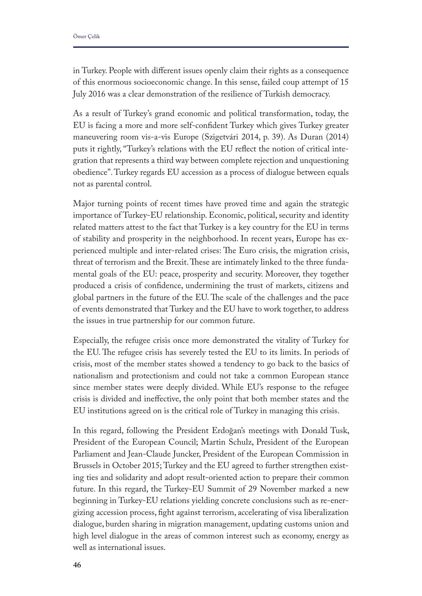in Turkey. People with diferent issues openly claim their rights as a consequence of this enormous socioeconomic change. In this sense, failed coup attempt of 15 July 2016 was a clear demonstration of the resilience of Turkish democracy.

As a result of Turkey's grand economic and political transformation, today, the EU is facing a more and more self-confdent Turkey which gives Turkey greater maneuvering room vis-a-vis Europe (Szigetvári 2014, p. 39). As Duran (2014) puts it rightly, "Turkey's relations with the EU refect the notion of critical integration that represents a third way between complete rejection and unquestioning obedience". Turkey regards EU accession as a process of dialogue between equals not as parental control.

Major turning points of recent times have proved time and again the strategic importance of Turkey-EU relationship. Economic, political, security and identity related matters attest to the fact that Turkey is a key country for the EU in terms of stability and prosperity in the neighborhood. In recent years, Europe has experienced multiple and inter-related crises: The Euro crisis, the migration crisis, threat of terrorism and the Brexit. These are intimately linked to the three fundamental goals of the EU: peace, prosperity and security. Moreover, they together produced a crisis of confdence, undermining the trust of markets, citizens and global partners in the future of the EU. The scale of the challenges and the pace of events demonstrated that Turkey and the EU have to work together, to address the issues in true partnership for our common future.

Especially, the refugee crisis once more demonstrated the vitality of Turkey for the EU. The refugee crisis has severely tested the EU to its limits. In periods of crisis, most of the member states showed a tendency to go back to the basics of nationalism and protectionism and could not take a common European stance since member states were deeply divided. While EU's response to the refugee crisis is divided and inefective, the only point that both member states and the EU institutions agreed on is the critical role of Turkey in managing this crisis.

In this regard, following the President Erdoğan's meetings with Donald Tusk, President of the European Council; Martin Schulz, President of the European Parliament and Jean-Claude Juncker, President of the European Commission in Brussels in October 2015; Turkey and the EU agreed to further strengthen existing ties and solidarity and adopt result-oriented action to prepare their common future. In this regard, the Turkey-EU Summit of 29 November marked a new beginning in Turkey-EU relations yielding concrete conclusions such as re-energizing accession process, fght against terrorism, accelerating of visa liberalization dialogue, burden sharing in migration management, updating customs union and high level dialogue in the areas of common interest such as economy, energy as well as international issues.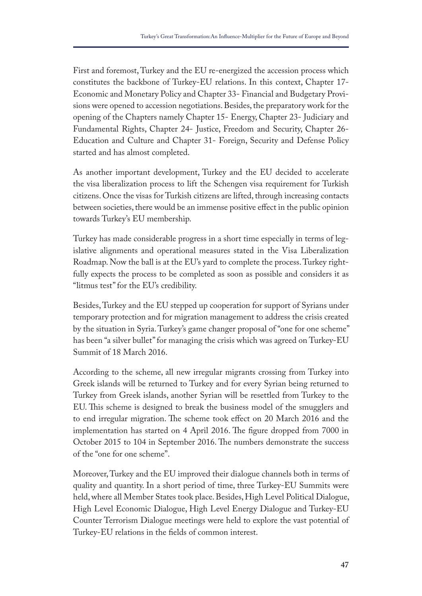First and foremost, Turkey and the EU re-energized the accession process which constitutes the backbone of Turkey-EU relations. In this context, Chapter 17- Economic and Monetary Policy and Chapter 33- Financial and Budgetary Provisions were opened to accession negotiations. Besides, the preparatory work for the opening of the Chapters namely Chapter 15- Energy, Chapter 23- Judiciary and Fundamental Rights, Chapter 24- Justice, Freedom and Security, Chapter 26- Education and Culture and Chapter 31- Foreign, Security and Defense Policy started and has almost completed.

As another important development, Turkey and the EU decided to accelerate the visa liberalization process to lift the Schengen visa requirement for Turkish citizens. Once the visas for Turkish citizens are lifted, through increasing contacts between societies, there would be an immense positive efect in the public opinion towards Turkey's EU membership.

Turkey has made considerable progress in a short time especially in terms of legislative alignments and operational measures stated in the Visa Liberalization Roadmap. Now the ball is at the EU's yard to complete the process. Turkey rightfully expects the process to be completed as soon as possible and considers it as "litmus test" for the EU's credibility.

Besides, Turkey and the EU stepped up cooperation for support of Syrians under temporary protection and for migration management to address the crisis created by the situation in Syria. Turkey's game changer proposal of "one for one scheme" has been "a silver bullet" for managing the crisis which was agreed on Turkey-EU Summit of 18 March 2016.

According to the scheme, all new irregular migrants crossing from Turkey into Greek islands will be returned to Turkey and for every Syrian being returned to Turkey from Greek islands, another Syrian will be resettled from Turkey to the EU. This scheme is designed to break the business model of the smugglers and to end irregular migration. The scheme took effect on 20 March 2016 and the implementation has started on 4 April 2016. The figure dropped from 7000 in October 2015 to 104 in September 2016. The numbers demonstrate the success of the "one for one scheme".

Moreover, Turkey and the EU improved their dialogue channels both in terms of quality and quantity. In a short period of time, three Turkey-EU Summits were held, where all Member States took place. Besides, High Level Political Dialogue, High Level Economic Dialogue, High Level Energy Dialogue and Turkey-EU Counter Terrorism Dialogue meetings were held to explore the vast potential of Turkey-EU relations in the felds of common interest.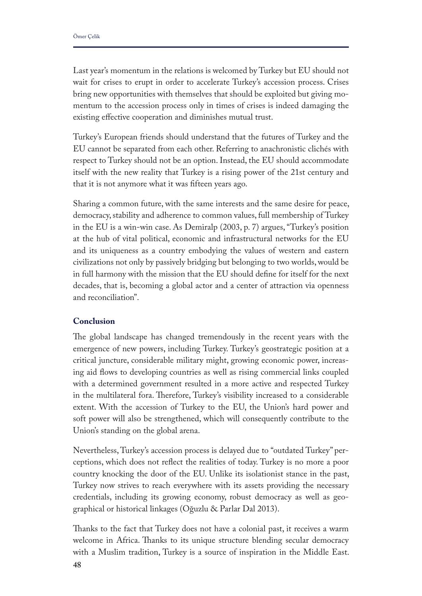Last year's momentum in the relations is welcomed by Turkey but EU should not wait for crises to erupt in order to accelerate Turkey's accession process. Crises bring new opportunities with themselves that should be exploited but giving momentum to the accession process only in times of crises is indeed damaging the existing efective cooperation and diminishes mutual trust.

Turkey's European friends should understand that the futures of Turkey and the EU cannot be separated from each other. Referring to anachronistic clichés with respect to Turkey should not be an option. Instead, the EU should accommodate itself with the new reality that Turkey is a rising power of the 21st century and that it is not anymore what it was ffteen years ago.

Sharing a common future, with the same interests and the same desire for peace, democracy, stability and adherence to common values, full membership of Turkey in the EU is a win-win case. As Demiralp (2003, p. 7) argues, "Turkey's position at the hub of vital political, economic and infrastructural networks for the EU and its uniqueness as a country embodying the values of western and eastern civilizations not only by passively bridging but belonging to two worlds, would be in full harmony with the mission that the EU should defne for itself for the next decades, that is, becoming a global actor and a center of attraction via openness and reconciliation".

# **Conclusion**

The global landscape has changed tremendously in the recent years with the emergence of new powers, including Turkey. Turkey's geostrategic position at a critical juncture, considerable military might, growing economic power, increasing aid fows to developing countries as well as rising commercial links coupled with a determined government resulted in a more active and respected Turkey in the multilateral fora. Therefore, Turkey's visibility increased to a considerable extent. With the accession of Turkey to the EU, the Union's hard power and soft power will also be strengthened, which will consequently contribute to the Union's standing on the global arena.

Nevertheless, Turkey's accession process is delayed due to "outdated Turkey" perceptions, which does not refect the realities of today. Turkey is no more a poor country knocking the door of the EU. Unlike its isolationist stance in the past, Turkey now strives to reach everywhere with its assets providing the necessary credentials, including its growing economy, robust democracy as well as geographical or historical linkages (Oğuzlu & Parlar Dal 2013).

Thanks to the fact that Turkey does not have a colonial past, it receives a warm welcome in Africa. Thanks to its unique structure blending secular democracy with a Muslim tradition, Turkey is a source of inspiration in the Middle East.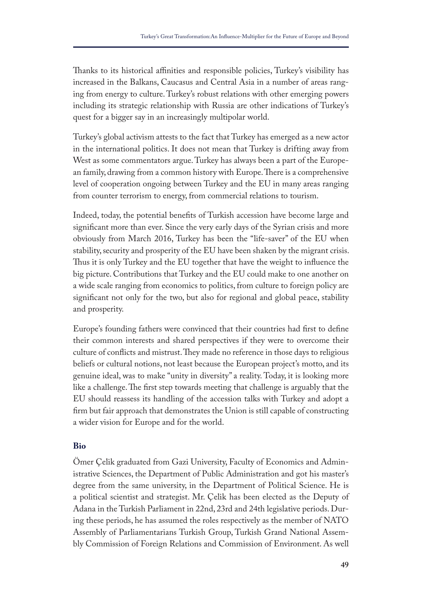Thanks to its historical affinities and responsible policies, Turkey's visibility has increased in the Balkans, Caucasus and Central Asia in a number of areas ranging from energy to culture. Turkey's robust relations with other emerging powers including its strategic relationship with Russia are other indications of Turkey's quest for a bigger say in an increasingly multipolar world.

Turkey's global activism attests to the fact that Turkey has emerged as a new actor in the international politics. It does not mean that Turkey is drifting away from West as some commentators argue. Turkey has always been a part of the European family, drawing from a common history with Europe. There is a comprehensive level of cooperation ongoing between Turkey and the EU in many areas ranging from counter terrorism to energy, from commercial relations to tourism.

Indeed, today, the potential benefts of Turkish accession have become large and signifcant more than ever. Since the very early days of the Syrian crisis and more obviously from March 2016, Turkey has been the "life-saver" of the EU when stability, security and prosperity of the EU have been shaken by the migrant crisis. Thus it is only Turkey and the EU together that have the weight to influence the big picture. Contributions that Turkey and the EU could make to one another on a wide scale ranging from economics to politics, from culture to foreign policy are signifcant not only for the two, but also for regional and global peace, stability and prosperity.

Europe's founding fathers were convinced that their countries had frst to defne their common interests and shared perspectives if they were to overcome their culture of conflicts and mistrust. They made no reference in those days to religious beliefs or cultural notions, not least because the European project's motto, and its genuine ideal, was to make "unity in diversity" a reality. Today, it is looking more like a challenge. The first step towards meeting that challenge is arguably that the EU should reassess its handling of the accession talks with Turkey and adopt a frm but fair approach that demonstrates the Union is still capable of constructing a wider vision for Europe and for the world.

# **Bio**

Ömer Çelik graduated from Gazi University, Faculty of Economics and Administrative Sciences, the Department of Public Administration and got his master's degree from the same university, in the Department of Political Science. He is a political scientist and strategist. Mr. Çelik has been elected as the Deputy of Adana in the Turkish Parliament in 22nd, 23rd and 24th legislative periods. During these periods, he has assumed the roles respectively as the member of NATO Assembly of Parliamentarians Turkish Group, Turkish Grand National Assembly Commission of Foreign Relations and Commission of Environment. As well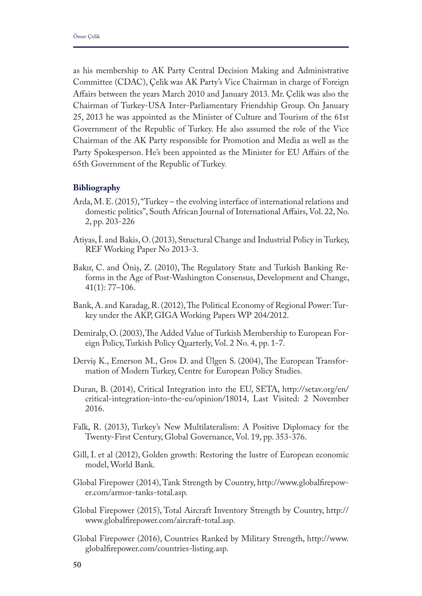as his membership to AK Party Central Decision Making and Administrative Committee (CDAC), Çelik was AK Party's Vice Chairman in charge of Foreign Afairs between the years March 2010 and January 2013. Mr. Çelik was also the Chairman of Turkey-USA Inter-Parliamentary Friendship Group. On January 25, 2013 he was appointed as the Minister of Culture and Tourism of the 61st Government of the Republic of Turkey. He also assumed the role of the Vice Chairman of the AK Party responsible for Promotion and Media as well as the Party Spokesperson. He's been appointed as the Minister for EU Affairs of the 65th Government of the Republic of Turkey.

# **Bibliography**

- Arda, M. E. (2015), "Turkey the evolving interface of international relations and domestic politics", South African Journal of International Afairs, Vol. 22, No. 2, pp. 203-226
- Atiyas, İ. and Bakis, O. (2013), Structural Change and Industrial Policy in Turkey, REF Working Paper No 2013-3.
- Bakır, C. and Önis, Z. (2010), The Regulatory State and Turkish Banking Reforms in the Age of Post-Washington Consensus, Development and Change, 41(1): 77–106.
- Bank, A. and Karadag, R. (2012), The Political Economy of Regional Power: Turkey under the AKP, GIGA Working Papers WP 204/2012.
- Demiralp, O. (2003), The Added Value of Turkish Membership to European Foreign Policy, Turkish Policy Quarterly, Vol. 2 No. 4, pp. 1-7.
- Derviş K., Emerson M., Gros D. and Ulgen S. (2004), The European Transformation of Modern Turkey, Centre for European Policy Studies.
- Duran, B. (2014), Critical Integration into the EU, SETA, http://setav.org/en/ critical-integration-into-the-eu/opinion/18014, Last Visited: 2 November 2016.
- Falk, R. (2013), Turkey's New Multilateralism: A Positive Diplomacy for the Twenty-First Century, Global Governance, Vol. 19, pp. 353-376.
- Gill, I. et al (2012), Golden growth: Restoring the lustre of European economic model, World Bank.
- Global Firepower (2014), Tank Strength by Country, http://www.globalfrepower.com/armor-tanks-total.asp.
- Global Firepower (2015), Total Aircraft Inventory Strength by Country, http:// www.globalfrepower.com/aircraft-total.asp.
- Global Firepower (2016), Countries Ranked by Military Strength, http://www. globalfrepower.com/countries-listing.asp.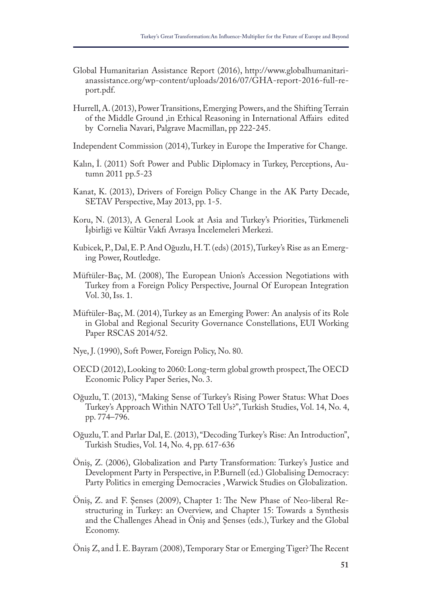- Global Humanitarian Assistance Report (2016), http://www.globalhumanitarianassistance.org/wp-content/uploads/2016/07/GHA-report-2016-full-report.pdf.
- Hurrell, A. (2013), Power Transitions, Emerging Powers, and the Shifting Terrain of the Middle Ground ,in Ethical Reasoning in International Afairs edited by Cornelia Navari, Palgrave Macmillan, pp 222-245.

Independent Commission (2014), Turkey in Europe the Imperative for Change.

- Kalın, İ. (2011) Soft Power and Public Diplomacy in Turkey, Perceptions, Autumn 2011 pp.5-23
- Kanat, K. (2013), Drivers of Foreign Policy Change in the AK Party Decade, SETAV Perspective, May 2013, pp. 1-5.
- Koru, N. (2013), A General Look at Asia and Turkey's Priorities, Türkmeneli İşbirliği ve Kültür Vakfı Avrasya İncelemeleri Merkezi.
- Kubicek, P., Dal, E. P. And Oğuzlu, H. T. (eds) (2015), Turkey's Rise as an Emerging Power, Routledge.
- Müftüler-Baç, M. (2008), The European Union's Accession Negotiations with Turkey from a Foreign Policy Perspective, Journal Of European Integration Vol. 30, Iss. 1.
- Müftüler-Baç, M. (2014), Turkey as an Emerging Power: An analysis of its Role in Global and Regional Security Governance Constellations, EUI Working Paper RSCAS 2014/52.
- Nye, J. (1990), Soft Power, Foreign Policy, No. 80.
- OECD (2012), Looking to 2060: Long-term global growth prospect, The OECD Economic Policy Paper Series, No. 3.
- Oğuzlu, T. (2013), "Making Sense of Turkey's Rising Power Status: What Does Turkey's Approach Within NATO Tell Us?", Turkish Studies, Vol. 14, No. 4, pp. 774–796.
- Oğuzlu, T. and Parlar Dal, E. (2013), "Decoding Turkey's Rise: An Introduction", Turkish Studies, Vol. 14, No. 4, pp. 617-636
- Öniş, Z. (2006), Globalization and Party Transformation: Turkey's Justice and Development Party in Perspective, in P.Burnell (ed.) Globalising Democracy: Party Politics in emerging Democracies , Warwick Studies on Globalization.
- Öniş, Z. and F. Şenses (2009), Chapter 1: The New Phase of Neo-liberal Restructuring in Turkey: an Overview, and Chapter 15: Towards a Synthesis and the Challenges Ahead in Öniş and Şenses (eds.), Turkey and the Global Economy.
- Öniş Z, and İ. E. Bayram (2008), Temporary Star or Emerging Tiger? The Recent